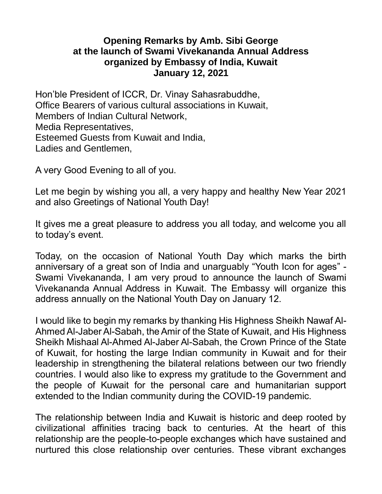## **Opening Remarks by Amb. Sibi George at the launch of Swami Vivekananda Annual Address organized by Embassy of India, Kuwait January 12, 2021**

Hon'ble President of ICCR, Dr. Vinay Sahasrabuddhe, Office Bearers of various cultural associations in Kuwait, Members of Indian Cultural Network, Media Representatives, Esteemed Guests from Kuwait and India, Ladies and Gentlemen,

A very Good Evening to all of you.

Let me begin by wishing you all, a very happy and healthy New Year 2021 and also Greetings of National Youth Day!

It gives me a great pleasure to address you all today, and welcome you all to today's event.

Today, on the occasion of National Youth Day which marks the birth anniversary of a great son of India and unarguably "Youth Icon for ages" - Swami Vivekananda, I am very proud to announce the launch of Swami Vivekananda Annual Address in Kuwait. The Embassy will organize this address annually on the National Youth Day on January 12.

I would like to begin my remarks by thanking His Highness Sheikh Nawaf Al-Ahmed Al-Jaber Al-Sabah, the Amir of the State of Kuwait, and His Highness Sheikh Mishaal Al-Ahmed Al-Jaber Al-Sabah, the Crown Prince of the State of Kuwait, for hosting the large Indian community in Kuwait and for their leadership in strengthening the bilateral relations between our two friendly countries. I would also like to express my gratitude to the Government and the people of Kuwait for the personal care and humanitarian support extended to the Indian community during the COVID-19 pandemic.

The relationship between India and Kuwait is historic and deep rooted by civilizational affinities tracing back to centuries. At the heart of this relationship are the people-to-people exchanges which have sustained and nurtured this close relationship over centuries. These vibrant exchanges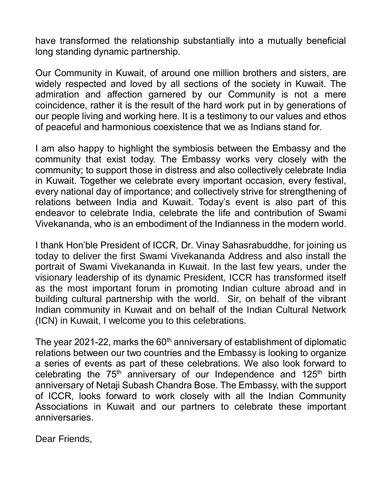have transformed the relationship substantially into a mutually beneficial long standing dynamic partnership.

Our Community in Kuwait, of around one million brothers and sisters, are widely respected and loved by all sections of the society in Kuwait. The admiration and affection garnered by our Community is not a mere coincidence, rather it is the result of the hard work put in by generations of our people living and working here. It is a testimony to our values and ethos of peaceful and harmonious coexistence that we as Indians stand for.

I am also happy to highlight the symbiosis between the Embassy and the community that exist today. The Embassy works very closely with the community; to support those in distress and also collectively celebrate India in Kuwait. Together we celebrate every important occasion, every festival, every national day of importance; and collectively strive for strengthening of relations between India and Kuwait. Today's event is also part of this endeavor to celebrate India, celebrate the life and contribution of Swami Vivekananda, who is an embodiment of the Indianness in the modern world.

I thank Hon'ble President of ICCR, Dr. Vinay Sahasrabuddhe, for joining us today to deliver the first Swami Vivekananda Address and also install the portrait of Swami Vivekananda in Kuwait. In the last few years, under the visionary leadership of its dynamic President, ICCR has transformed itself as the most important forum in promoting Indian culture abroad and in building cultural partnership with the world. Sir, on behalf of the vibrant Indian community in Kuwait and on behalf of the Indian Cultural Network (ICN) in Kuwait, I welcome you to this celebrations.

The year 2021-22, marks the  $60<sup>th</sup>$  anniversary of establishment of diplomatic relations between our two countries and the Embassy is looking to organize a series of events as part of these celebrations. We also look forward to celebrating the  $75<sup>th</sup>$  anniversary of our Independence and  $125<sup>th</sup>$  birth anniversary of Netaji Subash Chandra Bose. The Embassy, with the support of ICCR, looks forward to work closely with all the Indian Community Associations in Kuwait and our partners to celebrate these important anniversaries.

Dear Friends,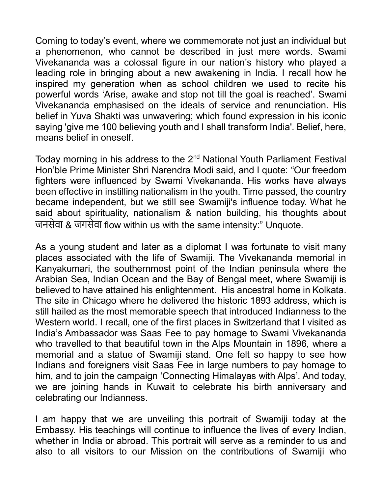Coming to today's event, where we commemorate not just an individual but a phenomenon, who cannot be described in just mere words. Swami Vivekananda was a colossal figure in our nation's history who played a leading role in bringing about a new awakening in India. I recall how he inspired my generation when as school children we used to recite his powerful words 'Arise, awake and stop not till the goal is reached'. Swami Vivekananda emphasised on the ideals of service and renunciation. His belief in Yuva Shakti was unwavering; which found expression in his iconic saying 'give me 100 believing youth and I shall transform India'. Belief, here, means belief in oneself.

Today morning in his address to the 2<sup>nd</sup> National Youth Parliament Festival Hon'ble Prime Minister Shri Narendra Modi said, and I quote: "Our freedom fighters were influenced by Swami Vivekananda. His works have always been effective in instilling nationalism in the youth. Time passed, the country became independent, but we still see Swamiji's influence today. What he said about spirituality, nationalism & nation building, his thoughts about जनसेवा & जगसेवा flow within us with the same intensity:" Unquote.

As a young student and later as a diplomat I was fortunate to visit many places associated with the life of Swamiji. The Vivekananda memorial in Kanyakumari, the southernmost point of the Indian peninsula where the Arabian Sea, Indian Ocean and the Bay of Bengal meet, where Swamiji is believed to have attained his enlightenment. His ancestral home in Kolkata. The site in Chicago where he delivered the historic 1893 address, which is still hailed as the most memorable speech that introduced Indianness to the Western world. I recall, one of the first places in Switzerland that I visited as India's Ambassador was Saas Fee to pay homage to Swami Vivekananda who travelled to that beautiful town in the Alps Mountain in 1896, where a memorial and a statue of Swamiji stand. One felt so happy to see how Indians and foreigners visit Saas Fee in large numbers to pay homage to him, and to join the campaign 'Connecting Himalayas with Alps'. And today, we are joining hands in Kuwait to celebrate his birth anniversary and celebrating our Indianness.

I am happy that we are unveiling this portrait of Swamiji today at the Embassy. His teachings will continue to influence the lives of every Indian, whether in India or abroad. This portrait will serve as a reminder to us and also to all visitors to our Mission on the contributions of Swamiji who